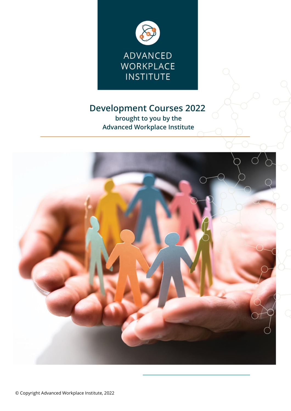

# **Development Courses 2022**

**brought to you by the Advanced Workplace Institute**

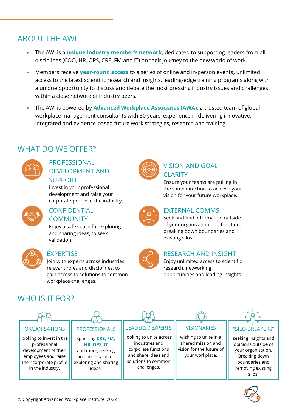## ABOUT THE AWI

- The AWI is a **unique industry member's network,** dedicated to supporting leaders from all disciplines (COO, HR, OPS, CRE, FM and IT) on their journey to the new world of work.
- Members receive **year-round access** to a series of online and in-person events**,** unlimited access to the latest scientific research and insights, leading-edge training programs along with a unique opportunity to discuss and debate the most pressing industry issues and challenges within a close network of industry peers.
- The AWI is powered by **Advanced Workplace Associates (AWA),** a trusted team of global workplace management consultants with 30 years' experience in delivering innovative, integrated and evidence-based future work strategies, research and training.

## WHAT DO WE OFFER?



## PROFESSIONAL DEVELOPMENT AND SUPPORT

Invest in your professional development and raise your corporate profile in the industry.



### CONFIDENTIAL COMMUNITY

Enjoy a safe space for exploring and sharing ideas, to seek validation.



### EXPERTISE

Join with experts across industries, relevant roles and disciplines, to gain access to solutions to common workplace challenges.



## VISION AND GOAL **CLARITY**

Ensure your teams are pulling in the same direction to achieve your vision for your future workplace.



## EXTERNAL COMMS

Seek and find information outside of your organization and function; breaking down boundaries and existing silos.



### RESEARCH AND INSIGHT

Enjoy unlimited access to scientific research, networking opportunities and leading insights.

# WHO IS IT FOR?



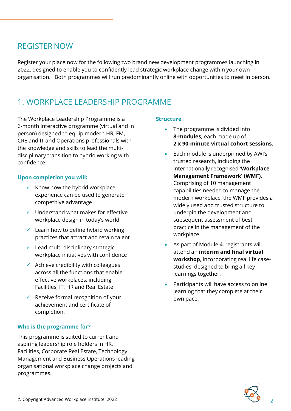## REGISTER NOW

Register your place now for the following two brand new development programmes launching in 2022, designed to enable you to confidently lead strategic workplace change within your own organisation. Both programmes will run predominantly online with opportunities to meet in person.

# 1. WORKPLACE LEADERSHIP PROGRAMME

The Workplace Leadership Programme is a 6-month interactive programme (virtual and in person) designed to equip modern HR, FM, CRE and IT and Operations professionals with the knowledge and skills to lead the multidisciplinary transition to hybrid working with confidence.

### **Upon completion you will:**

- $\checkmark$  Know how the hybrid workplace experience can be used to generate competitive advantage
- $\checkmark$  Understand what makes for effective workplace design in today's world
- $\checkmark$  Learn how to define hybrid working practices that attract and retain talent
- $\checkmark$  Lead multi-disciplinary strategic workplace initiatives with confidence
- $\checkmark$  Achieve credibility with colleagues across all the functions that enable effective workplaces, including Facilities, IT, HR and Real Estate
- $\checkmark$  Receive formal recognition of your achievement and certificate of completion.

### **Who is the programme for?**

This programme is suited to current and aspiring leadership role holders in HR, Facilities, Corporate Real Estate, Technology Management and Business Operations leading organisational workplace change projects and programmes.

### **Structure**

- The programme is divided into **8-modules,** each made up of **2 x 90-minute virtual cohort sessions**.
- Each module is underpinned by AWI's trusted research, including the internationally recognised '**Workplace Management Framework' (WMF).** Comprising of 10 management capabilities needed to manage the modern workplace, the WMF provides a widely used and trusted structure to underpin the development and subsequent assessment of best practice in the management of the workplace.
- As part of Module 4, registrants will attend an **interim and final virtual workshop**, incorporating real life casestudies, designed to bring all key learnings together.
- Participants will have access to online learning that they complete at their own pace.

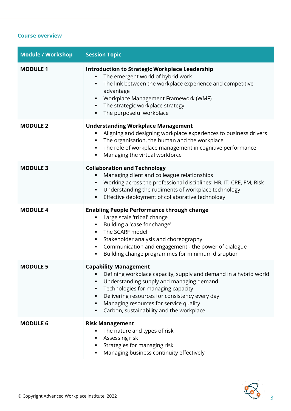### **Course overview**

| <b>Module / Workshop</b> | <b>Session Topic</b>                                                                                                                                                                                                                                                                                                                      |
|--------------------------|-------------------------------------------------------------------------------------------------------------------------------------------------------------------------------------------------------------------------------------------------------------------------------------------------------------------------------------------|
| <b>MODULE 1</b>          | <b>Introduction to Strategic Workplace Leadership</b><br>The emergent world of hybrid work<br>$\blacksquare$<br>The link between the workplace experience and competitive<br>advantage<br>Workplace Management Framework (WMF)<br>The strategic workplace strategy<br>$\blacksquare$<br>The purposeful workplace                          |
| <b>MODULE 2</b>          | <b>Understanding Workplace Management</b><br>Aligning and designing workplace experiences to business drivers<br>The organisation, the human and the workplace<br>The role of workplace management in cognitive performance<br>Managing the virtual workforce                                                                             |
| <b>MODULE 3</b>          | <b>Collaboration and Technology</b><br>Managing client and colleague relationships<br>Working across the professional disciplines: HR, IT, CRE, FM, Risk<br>Understanding the rudiments of workplace technology<br>٠<br>Effective deployment of collaborative technology                                                                  |
| <b>MODULE 4</b>          | <b>Enabling People Performance through change</b><br>Large scale 'tribal' change<br>Building a 'case for change'<br>The SCARF model<br>Stakeholder analysis and choreography<br>Communication and engagement - the power of dialogue<br>Building change programmes for minimum disruption                                                 |
| <b>MODULE 5</b>          | <b>Capability Management</b><br>Defining workplace capacity, supply and demand in a hybrid world<br>Understanding supply and managing demand<br>٠<br>Technologies for managing capacity<br>Delivering resources for consistency every day<br>٠<br>Managing resources for service quality<br>٠<br>Carbon, sustainability and the workplace |
| <b>MODULE 6</b>          | <b>Risk Management</b><br>The nature and types of risk<br>Assessing risk<br>Strategies for managing risk<br>Managing business continuity effectively                                                                                                                                                                                      |

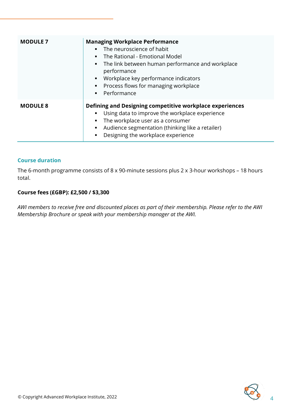| <b>MODULE 7</b> | <b>Managing Workplace Performance</b><br>The neuroscience of habit<br>$\mathbf{u}$ .<br>The Rational - Emotional Model<br>$\mathbf{r}$<br>The link between human performance and workplace<br>$\mathbf{m}$ .<br>performance<br>Workplace key performance indicators<br>$\blacksquare$<br>• Process flows for managing workplace<br>Performance |
|-----------------|------------------------------------------------------------------------------------------------------------------------------------------------------------------------------------------------------------------------------------------------------------------------------------------------------------------------------------------------|
| <b>MODULE 8</b> | Defining and Designing competitive workplace experiences<br>Using data to improve the workplace experience<br>The workplace user as a consumer<br>Audience segmentation (thinking like a retailer)<br>Designing the workplace experience                                                                                                       |

### **Course duration**

The 6-month programme consists of 8 x 90-minute sessions plus 2 x 3-hour workshops – 18 hours total.

#### **Course fees (£GBP): £2,500 / \$3,300**

*AWI members to receive free and discounted places as part of their membership. Please refer to the AWI Membership Brochure or speak with your membership manager at the AWI.*

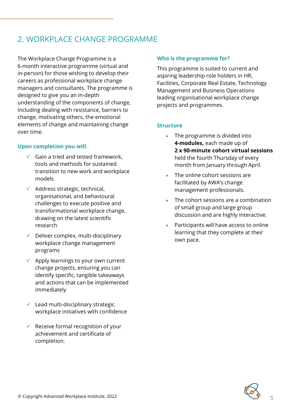# 2. WORKPLACE CHANGE PROGRAMME

The Workplace Change Programme is a 6-month interactive programme (virtual and in-person) for those wishing to develop their careers as professional workplace change managers and consultants. The programme is designed to give you an in-depth understanding of the components of change, including dealing with resistance, barriers to change, motivating others, the emotional elements of change and maintaining change over time.

### **Upon completion you will:**

- $\checkmark$  Gain a tried and tested framework, tools and methods for sustained transition to new work and workplace models
- $\checkmark$  Address strategic, technical, organisational, and behavioural challenges to execute positive and transformational workplace change, drawing on the latest scientific research
- $\checkmark$  Deliver complex, multi-disciplinary workplace change management programs
- $\checkmark$  Apply learnings to your own current change projects, ensuring you can identify specific, tangible takeaways and actions that can be implemented immediately
- $\checkmark$  Lead multi-disciplinary strategic workplace initiatives with confidence
- $\checkmark$  Receive formal recognition of your achievement and certificate of completion.

#### **Who is the programme for?**

This programme is suited to current and aspiring leadership role holders in HR, Facilities, Corporate Real Estate, Technology Management and Business Operations leading organisational workplace change projects and programmes.

### **Structure**

- The programme is divided into **4-modules,** each made up of **2 x 90-minute cohort virtual sessions**  held the fourth Thursday of every month from January through April.
- The online cohort sessions are facilitated by AWA's change management professionals.
- The cohort sessions are a combination of small group and large group discussion and are highly interactive.
- Participants will have access to online learning that they complete at their own pace.

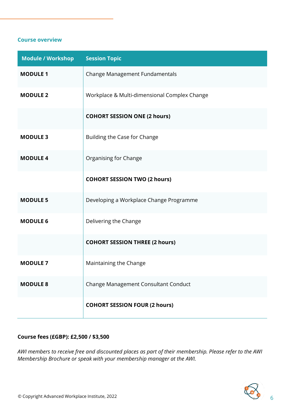#### **Course overview**

| <b>Module / Workshop</b> | <b>Session Topic</b>                         |
|--------------------------|----------------------------------------------|
| <b>MODULE 1</b>          | Change Management Fundamentals               |
| <b>MODULE 2</b>          | Workplace & Multi-dimensional Complex Change |
|                          | <b>COHORT SESSION ONE (2 hours)</b>          |
| <b>MODULE 3</b>          | Building the Case for Change                 |
| <b>MODULE 4</b>          | Organising for Change                        |
|                          | <b>COHORT SESSION TWO (2 hours)</b>          |
| <b>MODULE 5</b>          | Developing a Workplace Change Programme      |
| <b>MODULE 6</b>          | Delivering the Change                        |
|                          | <b>COHORT SESSION THREE (2 hours)</b>        |
| <b>MODULE 7</b>          | Maintaining the Change                       |
| <b>MODULE 8</b>          | Change Management Consultant Conduct         |
|                          | <b>COHORT SESSION FOUR (2 hours)</b>         |

### **Course fees (£GBP): £2,500 / \$3,500**

*AWI members to receive free and discounted places as part of their membership. Please refer to the AWI Membership Brochure or speak with your membership manager at the AWI.*

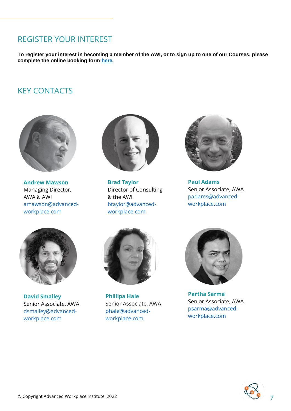## REGISTER YOUR INTEREST

**To register your interest in becoming a member of the AWI, or to sign up to one of our Courses, please complete the online booking form [here.](https://www.advanced-workplace.com/awa/services/advanced-workplace-institute/)**

## KEY CONTACTS



**Andrew Mawson** Managing Director, AWA & AWI [amawson@advanced](mailto:amawson@advanced-workplace.com)[workplace.com](mailto:amawson@advanced-workplace.com)



**Brad Taylor** Director of Consulting & the AWI [btaylor@advanced](mailto:btaylor@advanced-workplace.com)[workplace.com](mailto:btaylor@advanced-workplace.com)



**Paul Adams** Senior Associate, AWA [padams@advanced](mailto:padams@advanced-workplace.com)[workplace.com](mailto:padams@advanced-workplace.com)



**David Smalley** Senior Associate, AWA [dsmalley@advanced](mailto:dsmalley@advanced-workplace.com)[workplace.com](mailto:dsmalley@advanced-workplace.com)



**Phillipa Hale** Senior Associate, AWA [phale@advanced](mailto:phale@advanced-workplace.com)[workplace.com](mailto:phale@advanced-workplace.com)



**Partha Sarma** Senior Associate, AWA [psarma@advanced](mailto:psarma@advanced-workplace.com)[workplace.com](mailto:psarma@advanced-workplace.com)